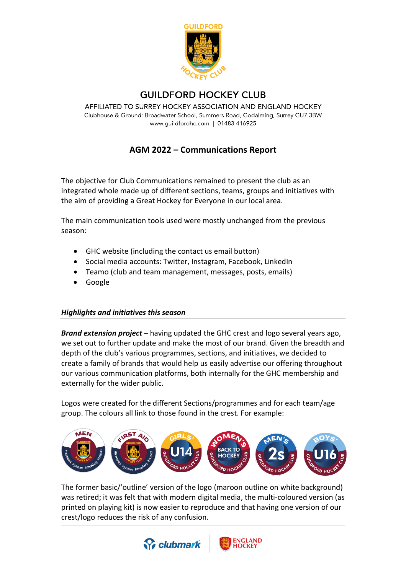

## **GUILDFORD HOCKEY CLUB**

AFFILIATED TO SURREY HOCKEY ASSOCIATION AND ENGLAND HOCKEY Clubhouse & Ground: Broadwater School, Summers Road, Godalming, Surrey GU7 3BW www.guildfordhc.com | 01483 416925

# **AGM 2022 – Communications Report**

The objective for Club Communications remained to present the club as an integrated whole made up of different sections, teams, groups and initiatives with the aim of providing a Great Hockey for Everyone in our local area.

The main communication tools used were mostly unchanged from the previous season:

- GHC website (including the contact us email button)
- Social media accounts: Twitter, Instagram, Facebook, LinkedIn
- Teamo (club and team management, messages, posts, emails)
- Google

#### *Highlights and initiatives this season*

*Brand extension project* – having updated the GHC crest and logo several years ago, we set out to further update and make the most of our brand. Given the breadth and depth of the club's various programmes, sections, and initiatives, we decided to create a family of brands that would help us easily advertise our offering throughout our various communication platforms, both internally for the GHC membership and externally for the wider public.

Logos were created for the different Sections/programmes and for each team/age group. The colours all link to those found in the crest. For example:



The former basic/'outline' version of the logo (maroon outline on white background) was retired; it was felt that with modern digital media, the multi-coloured version (as printed on playing kit) is now easier to reproduce and that having one version of our crest/logo reduces the risk of any confusion.



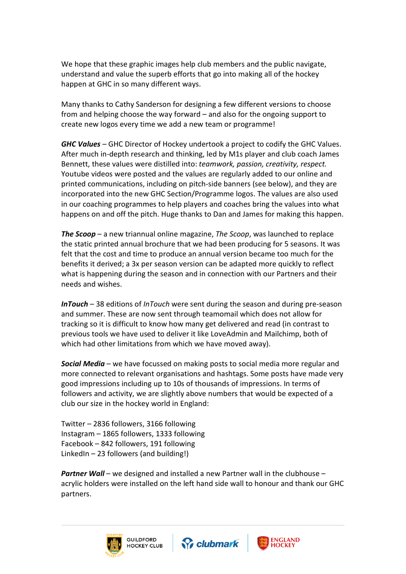We hope that these graphic images help club members and the public navigate, understand and value the superb efforts that go into making all of the hockey happen at GHC in so many different ways.

Many thanks to Cathy Sanderson for designing a few different versions to choose from and helping choose the way forward – and also for the ongoing support to create new logos every time we add a new team or programme!

*GHC Values* – GHC Director of Hockey undertook a project to codify the GHC Values. After much in-depth research and thinking, led by M1s player and club coach James Bennett, these values were distilled into: *teamwork, passion, creativity, respect.* Youtube videos were posted and the values are regularly added to our online and printed communications, including on pitch-side banners (see below), and they are incorporated into the new GHC Section/Programme logos. The values are also used in our coaching programmes to help players and coaches bring the values into what happens on and off the pitch. Huge thanks to Dan and James for making this happen.

*The Scoop* – a new triannual online magazine, *The Scoop*, was launched to replace the static printed annual brochure that we had been producing for 5 seasons. It was felt that the cost and time to produce an annual version became too much for the benefits it derived; a 3x per season version can be adapted more quickly to reflect what is happening during the season and in connection with our Partners and their needs and wishes.

*InTouch* – 38 editions of *InTouch* were sent during the season and during pre-season and summer. These are now sent through teamomail which does not allow for tracking so it is difficult to know how many get delivered and read (in contrast to previous tools we have used to deliver it like LoveAdmin and Mailchimp, both of which had other limitations from which we have moved away).

*Social Media* – we have focussed on making posts to social media more regular and more connected to relevant organisations and hashtags. Some posts have made very good impressions including up to 10s of thousands of impressions. In terms of followers and activity, we are slightly above numbers that would be expected of a club our size in the hockey world in England:

Twitter – 2836 followers, 3166 following Instagram – 1865 followers, 1333 following Facebook – 842 followers, 191 following LinkedIn – 23 followers (and building!)

*Partner Wall* – we designed and installed a new Partner wall in the clubhouse – acrylic holders were installed on the left hand side wall to honour and thank our GHC partners.





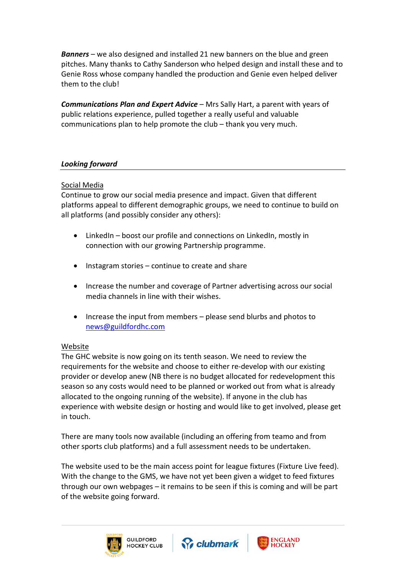*Banners* – we also designed and installed 21 new banners on the blue and green pitches. Many thanks to Cathy Sanderson who helped design and install these and to Genie Ross whose company handled the production and Genie even helped deliver them to the club!

*Communications Plan and Expert Advice* – Mrs Sally Hart, a parent with years of public relations experience, pulled together a really useful and valuable communications plan to help promote the club – thank you very much.

### *Looking forward*

#### Social Media

Continue to grow our social media presence and impact. Given that different platforms appeal to different demographic groups, we need to continue to build on all platforms (and possibly consider any others):

- LinkedIn boost our profile and connections on LinkedIn, mostly in connection with our growing Partnership programme.
- Instagram stories  $-$  continue to create and share
- Increase the number and coverage of Partner advertising across our social media channels in line with their wishes.
- Increase the input from members please send blurbs and photos to [news@guildfordhc.com](mailto:news@guildfordhc.com)

#### Website

The GHC website is now going on its tenth season. We need to review the requirements for the website and choose to either re-develop with our existing provider or develop anew (NB there is no budget allocated for redevelopment this season so any costs would need to be planned or worked out from what is already allocated to the ongoing running of the website). If anyone in the club has experience with website design or hosting and would like to get involved, please get in touch.

There are many tools now available (including an offering from teamo and from other sports club platforms) and a full assessment needs to be undertaken.

The website used to be the main access point for league fixtures (Fixture Live feed). With the change to the GMS, we have not yet been given a widget to feed fixtures through our own webpages – it remains to be seen if this is coming and will be part of the website going forward.